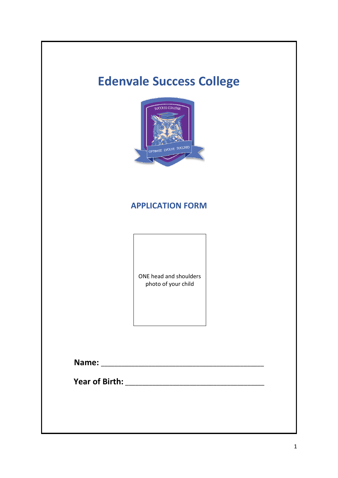# **Edenvale Success College**



### **APPLICATION FORM**

ONE head and shoulders photo of your child

**Name:** \_\_\_\_\_\_\_\_\_\_\_\_\_\_\_\_\_\_\_\_\_\_\_\_\_\_\_\_\_\_\_\_\_\_\_\_\_\_\_\_\_\_\_\_\_\_\_\_

**Year of Birth:** \_\_\_\_\_\_\_\_\_\_\_\_\_\_\_\_\_\_\_\_\_\_\_\_\_\_\_\_\_\_\_\_\_\_\_\_\_\_\_\_\_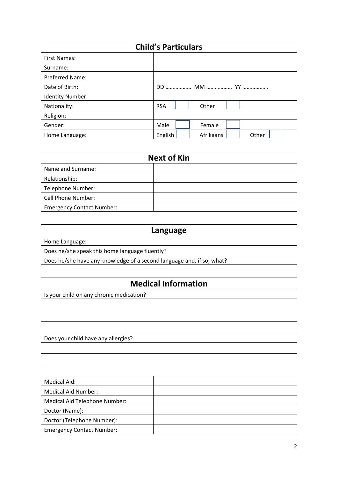| <b>Child's Particulars</b> |            |  |           |  |       |  |  |  |  |
|----------------------------|------------|--|-----------|--|-------|--|--|--|--|
| <b>First Names:</b>        |            |  |           |  |       |  |  |  |  |
| Surname:                   |            |  |           |  |       |  |  |  |  |
| Preferred Name:            |            |  |           |  |       |  |  |  |  |
| Date of Birth:             |            |  |           |  |       |  |  |  |  |
| <b>Identity Number:</b>    |            |  |           |  |       |  |  |  |  |
| Nationality:               | <b>RSA</b> |  | Other     |  |       |  |  |  |  |
| Religion:                  |            |  |           |  |       |  |  |  |  |
| Gender:                    | Male       |  | Female    |  |       |  |  |  |  |
| Home Language:             | English    |  | Afrikaans |  | Other |  |  |  |  |

| <b>Next of Kin</b>               |  |  |  |  |  |
|----------------------------------|--|--|--|--|--|
| Name and Surname:                |  |  |  |  |  |
| Relationship:                    |  |  |  |  |  |
| Telephone Number:                |  |  |  |  |  |
| Cell Phone Number:               |  |  |  |  |  |
| <b>Emergency Contact Number:</b> |  |  |  |  |  |

| Language                                                              |
|-----------------------------------------------------------------------|
| Home Language:                                                        |
| Does he/she speak this home language fluently?                        |
| Does he/she have any knowledge of a second language and, if so, what? |

| <b>Medical Information</b>               |  |  |  |  |  |
|------------------------------------------|--|--|--|--|--|
| Is your child on any chronic medication? |  |  |  |  |  |
|                                          |  |  |  |  |  |
|                                          |  |  |  |  |  |
|                                          |  |  |  |  |  |
| Does your child have any allergies?      |  |  |  |  |  |
|                                          |  |  |  |  |  |
|                                          |  |  |  |  |  |
|                                          |  |  |  |  |  |
| <b>Medical Aid:</b>                      |  |  |  |  |  |
| <b>Medical Aid Number:</b>               |  |  |  |  |  |
| Medical Aid Telephone Number:            |  |  |  |  |  |
| Doctor (Name):                           |  |  |  |  |  |
| Doctor (Telephone Number):               |  |  |  |  |  |
| <b>Emergency Contact Number:</b>         |  |  |  |  |  |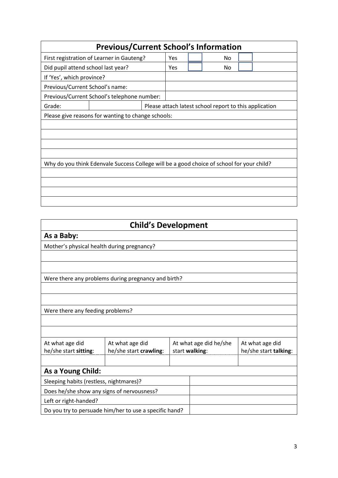|                                    | <b>Previous/Current School's Information</b>                                              |                                                        |  |    |  |  |  |
|------------------------------------|-------------------------------------------------------------------------------------------|--------------------------------------------------------|--|----|--|--|--|
|                                    | First registration of Learner in Gauteng?                                                 | Yes                                                    |  | No |  |  |  |
| Did pupil attend school last year? |                                                                                           | Yes<br>No                                              |  |    |  |  |  |
| If 'Yes', which province?          |                                                                                           |                                                        |  |    |  |  |  |
| Previous/Current School's name:    |                                                                                           |                                                        |  |    |  |  |  |
|                                    | Previous/Current School's telephone number:                                               |                                                        |  |    |  |  |  |
| Grade:                             |                                                                                           | Please attach latest school report to this application |  |    |  |  |  |
|                                    | Please give reasons for wanting to change schools:                                        |                                                        |  |    |  |  |  |
|                                    |                                                                                           |                                                        |  |    |  |  |  |
|                                    |                                                                                           |                                                        |  |    |  |  |  |
|                                    |                                                                                           |                                                        |  |    |  |  |  |
|                                    |                                                                                           |                                                        |  |    |  |  |  |
|                                    | Why do you think Edenvale Success College will be a good choice of school for your child? |                                                        |  |    |  |  |  |
|                                    |                                                                                           |                                                        |  |    |  |  |  |
|                                    |                                                                                           |                                                        |  |    |  |  |  |
|                                    |                                                                                           |                                                        |  |    |  |  |  |
|                                    |                                                                                           |                                                        |  |    |  |  |  |

| <b>Child's Development</b>                 |                                                        |  |                        |                       |  |  |  |
|--------------------------------------------|--------------------------------------------------------|--|------------------------|-----------------------|--|--|--|
| As a Baby:                                 |                                                        |  |                        |                       |  |  |  |
| Mother's physical health during pregnancy? |                                                        |  |                        |                       |  |  |  |
|                                            |                                                        |  |                        |                       |  |  |  |
|                                            |                                                        |  |                        |                       |  |  |  |
|                                            | Were there any problems during pregnancy and birth?    |  |                        |                       |  |  |  |
|                                            |                                                        |  |                        |                       |  |  |  |
|                                            |                                                        |  |                        |                       |  |  |  |
| Were there any feeding problems?           |                                                        |  |                        |                       |  |  |  |
|                                            |                                                        |  |                        |                       |  |  |  |
|                                            |                                                        |  |                        |                       |  |  |  |
| At what age did                            | At what age did                                        |  | At what age did he/she | At what age did       |  |  |  |
| he/she start sitting:                      | he/she start crawling:                                 |  | start walking:         | he/she start talking: |  |  |  |
|                                            |                                                        |  |                        |                       |  |  |  |
| As a Young Child:                          |                                                        |  |                        |                       |  |  |  |
| Sleeping habits (restless, nightmares)?    |                                                        |  |                        |                       |  |  |  |
| Does he/she show any signs of nervousness? |                                                        |  |                        |                       |  |  |  |
| Left or right-handed?                      |                                                        |  |                        |                       |  |  |  |
|                                            | Do you try to persuade him/her to use a specific hand? |  |                        |                       |  |  |  |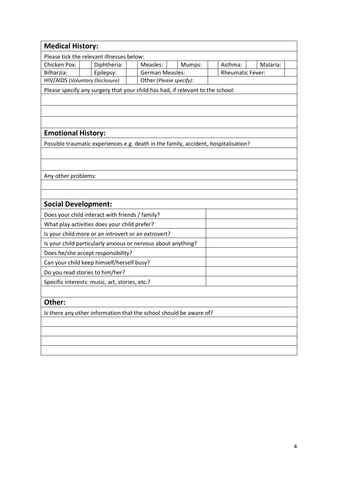| <b>Medical History:</b>         |                                                                                     |                         |        |                         |          |
|---------------------------------|-------------------------------------------------------------------------------------|-------------------------|--------|-------------------------|----------|
|                                 | Please tick the relevant illnesses below:                                           |                         |        |                         |          |
| Chicken Pox:                    | Diphtheria:                                                                         | Measles:                | Mumps: | Asthma:                 | Malaria: |
| Bilharzia:                      | Epilepsy:                                                                           | <b>German Measles:</b>  |        | <b>Rheumatic Fever:</b> |          |
| HIV/AIDS (Voluntary Disclosure) |                                                                                     | Other (Please specify): |        |                         |          |
|                                 | Please specify any surgery that your child has had, if relevant to the school:      |                         |        |                         |          |
|                                 |                                                                                     |                         |        |                         |          |
|                                 |                                                                                     |                         |        |                         |          |
|                                 |                                                                                     |                         |        |                         |          |
| <b>Emotional History:</b>       |                                                                                     |                         |        |                         |          |
|                                 | Possible traumatic experiences e.g. death in the family, accident, hospitalisation? |                         |        |                         |          |
|                                 |                                                                                     |                         |        |                         |          |
|                                 |                                                                                     |                         |        |                         |          |
|                                 |                                                                                     |                         |        |                         |          |
| Any other problems:             |                                                                                     |                         |        |                         |          |
|                                 |                                                                                     |                         |        |                         |          |
| <b>Social Development:</b>      |                                                                                     |                         |        |                         |          |
|                                 | Does your child interact with friends / family?                                     |                         |        |                         |          |
|                                 | What play activities does your child prefer?                                        |                         |        |                         |          |
|                                 | Is your child more or an introvert or an extrovert?                                 |                         |        |                         |          |
|                                 | Is your child particularly anxious or nervous about anything?                       |                         |        |                         |          |
|                                 | Does he/she accept responsibility?                                                  |                         |        |                         |          |
|                                 | Can your child keep himself/herself busy?                                           |                         |        |                         |          |
| Do you read stories to him/her? |                                                                                     |                         |        |                         |          |
|                                 | Specific interests: music, art, stories, etc.?                                      |                         |        |                         |          |
|                                 |                                                                                     |                         |        |                         |          |
| Other:                          |                                                                                     |                         |        |                         |          |
|                                 | Is there any other information that the school should be aware of?                  |                         |        |                         |          |
|                                 |                                                                                     |                         |        |                         |          |
|                                 |                                                                                     |                         |        |                         |          |
|                                 |                                                                                     |                         |        |                         |          |
|                                 |                                                                                     |                         |        |                         |          |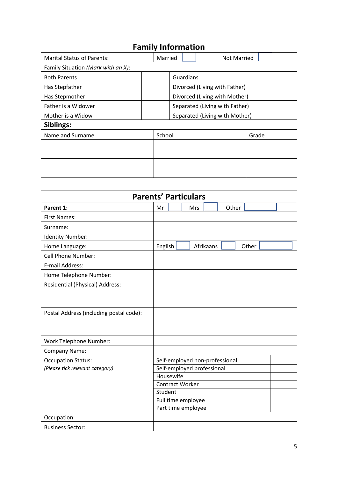| <b>Family Information</b>          |                               |         |                               |                                |       |  |  |  |
|------------------------------------|-------------------------------|---------|-------------------------------|--------------------------------|-------|--|--|--|
| <b>Marital Status of Parents:</b>  |                               | Married |                               | <b>Not Married</b>             |       |  |  |  |
| Family Situation (Mark with an X): |                               |         |                               |                                |       |  |  |  |
| <b>Both Parents</b>                |                               |         | Guardians                     |                                |       |  |  |  |
| Has Stepfather                     | Divorced (Living with Father) |         |                               |                                |       |  |  |  |
| Has Stepmother                     |                               |         | Divorced (Living with Mother) |                                |       |  |  |  |
| Father is a Widower                |                               |         |                               | Separated (Living with Father) |       |  |  |  |
| Mother is a Widow                  |                               |         |                               | Separated (Living with Mother) |       |  |  |  |
| Siblings:                          |                               |         |                               |                                |       |  |  |  |
| Name and Surname                   |                               | School  |                               |                                | Grade |  |  |  |
|                                    |                               |         |                               |                                |       |  |  |  |
|                                    |                               |         |                               |                                |       |  |  |  |
|                                    |                               |         |                               |                                |       |  |  |  |
|                                    |                               |         |                               |                                |       |  |  |  |

| <b>Parents' Particulars</b>             |                                |  |  |  |  |  |  |
|-----------------------------------------|--------------------------------|--|--|--|--|--|--|
| Parent 1:                               | Other<br>Mr<br>Mrs             |  |  |  |  |  |  |
| <b>First Names:</b>                     |                                |  |  |  |  |  |  |
| Surname:                                |                                |  |  |  |  |  |  |
| <b>Identity Number:</b>                 |                                |  |  |  |  |  |  |
| Home Language:                          | English<br>Afrikaans<br>Other  |  |  |  |  |  |  |
| Cell Phone Number:                      |                                |  |  |  |  |  |  |
| E-mail Address:                         |                                |  |  |  |  |  |  |
| Home Telephone Number:                  |                                |  |  |  |  |  |  |
| Residential (Physical) Address:         |                                |  |  |  |  |  |  |
|                                         |                                |  |  |  |  |  |  |
|                                         |                                |  |  |  |  |  |  |
| Postal Address (including postal code): |                                |  |  |  |  |  |  |
|                                         |                                |  |  |  |  |  |  |
|                                         |                                |  |  |  |  |  |  |
| Work Telephone Number:                  |                                |  |  |  |  |  |  |
| Company Name:                           |                                |  |  |  |  |  |  |
| <b>Occupation Status:</b>               | Self-employed non-professional |  |  |  |  |  |  |
| (Please tick relevant category)         | Self-employed professional     |  |  |  |  |  |  |
|                                         | Housewife                      |  |  |  |  |  |  |
|                                         | <b>Contract Worker</b>         |  |  |  |  |  |  |
|                                         | Student                        |  |  |  |  |  |  |
|                                         | Full time employee             |  |  |  |  |  |  |
|                                         | Part time employee             |  |  |  |  |  |  |
| Occupation:                             |                                |  |  |  |  |  |  |
| <b>Business Sector:</b>                 |                                |  |  |  |  |  |  |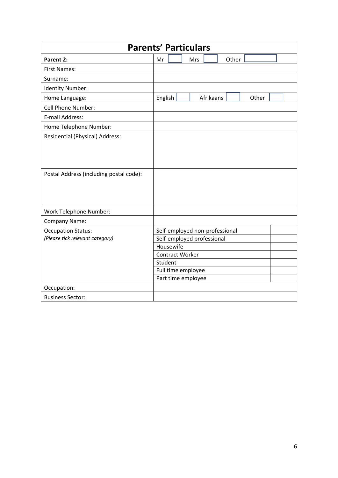| <b>Parents' Particulars</b>             |                        |  |                            |           |                                |       |  |  |  |
|-----------------------------------------|------------------------|--|----------------------------|-----------|--------------------------------|-------|--|--|--|
| Parent 2:                               | Mr                     |  | Mrs                        |           | Other                          |       |  |  |  |
| <b>First Names:</b>                     |                        |  |                            |           |                                |       |  |  |  |
| Surname:                                |                        |  |                            |           |                                |       |  |  |  |
| Identity Number:                        |                        |  |                            |           |                                |       |  |  |  |
| Home Language:                          | English                |  |                            | Afrikaans |                                | Other |  |  |  |
| Cell Phone Number:                      |                        |  |                            |           |                                |       |  |  |  |
| E-mail Address:                         |                        |  |                            |           |                                |       |  |  |  |
| Home Telephone Number:                  |                        |  |                            |           |                                |       |  |  |  |
| Residential (Physical) Address:         |                        |  |                            |           |                                |       |  |  |  |
|                                         |                        |  |                            |           |                                |       |  |  |  |
|                                         |                        |  |                            |           |                                |       |  |  |  |
|                                         |                        |  |                            |           |                                |       |  |  |  |
| Postal Address (including postal code): |                        |  |                            |           |                                |       |  |  |  |
|                                         |                        |  |                            |           |                                |       |  |  |  |
|                                         |                        |  |                            |           |                                |       |  |  |  |
|                                         |                        |  |                            |           |                                |       |  |  |  |
| Work Telephone Number:                  |                        |  |                            |           |                                |       |  |  |  |
| Company Name:                           |                        |  |                            |           |                                |       |  |  |  |
| <b>Occupation Status:</b>               |                        |  |                            |           | Self-employed non-professional |       |  |  |  |
| (Please tick relevant category)         |                        |  | Self-employed professional |           |                                |       |  |  |  |
|                                         | Housewife              |  |                            |           |                                |       |  |  |  |
|                                         | <b>Contract Worker</b> |  |                            |           |                                |       |  |  |  |
|                                         | Student                |  |                            |           |                                |       |  |  |  |
|                                         |                        |  | Full time employee         |           |                                |       |  |  |  |
|                                         |                        |  | Part time employee         |           |                                |       |  |  |  |
| Occupation:                             |                        |  |                            |           |                                |       |  |  |  |
| <b>Business Sector:</b>                 |                        |  |                            |           |                                |       |  |  |  |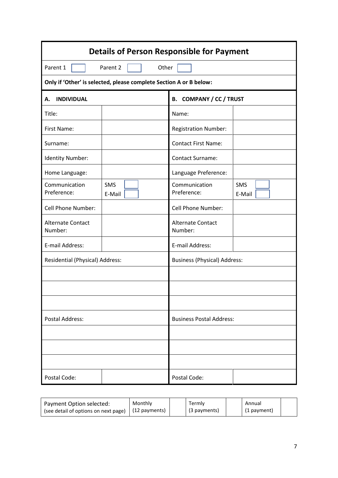| <b>Details of Person Responsible for Payment</b>                   |                      |                                     |                      |  |  |  |  |
|--------------------------------------------------------------------|----------------------|-------------------------------------|----------------------|--|--|--|--|
| Parent 1                                                           | Parent 2<br>Other    |                                     |                      |  |  |  |  |
| Only if 'Other' is selected, please complete Section A or B below: |                      |                                     |                      |  |  |  |  |
| <b>INDIVIDUAL</b><br>А.                                            |                      | <b>B. COMPANY / CC / TRUST</b>      |                      |  |  |  |  |
| Title:                                                             |                      | Name:                               |                      |  |  |  |  |
| First Name:                                                        |                      | <b>Registration Number:</b>         |                      |  |  |  |  |
| Surname:                                                           |                      | <b>Contact First Name:</b>          |                      |  |  |  |  |
| Identity Number:                                                   |                      | <b>Contact Surname:</b>             |                      |  |  |  |  |
| Home Language:                                                     |                      | Language Preference:                |                      |  |  |  |  |
| Communication<br>Preference:                                       | <b>SMS</b><br>E-Mail | Communication<br>Preference:        | <b>SMS</b><br>E-Mail |  |  |  |  |
| Cell Phone Number:                                                 |                      | Cell Phone Number:                  |                      |  |  |  |  |
| <b>Alternate Contact</b><br>Number:                                |                      | Alternate Contact<br>Number:        |                      |  |  |  |  |
| E-mail Address:                                                    |                      | E-mail Address:                     |                      |  |  |  |  |
| Residential (Physical) Address:                                    |                      | <b>Business (Physical) Address:</b> |                      |  |  |  |  |
|                                                                    |                      |                                     |                      |  |  |  |  |
|                                                                    |                      |                                     |                      |  |  |  |  |
|                                                                    |                      |                                     |                      |  |  |  |  |
| <b>Postal Address:</b>                                             |                      | <b>Business Postal Address:</b>     |                      |  |  |  |  |
|                                                                    |                      |                                     |                      |  |  |  |  |
|                                                                    |                      |                                     |                      |  |  |  |  |
|                                                                    |                      |                                     |                      |  |  |  |  |
| Postal Code:                                                       |                      | Postal Code:                        |                      |  |  |  |  |

| Payment Option selected:             | Monthly       | Termly       | Annual      |  |
|--------------------------------------|---------------|--------------|-------------|--|
| (see detail of options on next page) | (12 payments) | (3 payments) | (1 payment) |  |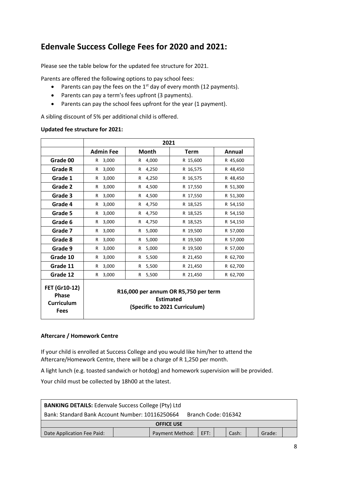### **Edenvale Success College Fees for 2020 and 2021:**

Please see the table below for the updated fee structure for 2021.

Parents are offered the following options to pay school fees:

- Parents can pay the fees on the  $1<sup>st</sup>$  day of every month (12 payments).
- Parents can pay a term's fees upfront (3 payments).
- Parents can pay the school fees upfront for the year (1 payment).

A sibling discount of 5% per additional child is offered.

#### **Updated fee structure for 2021:**

|                                                            | 2021                                                                                      |             |             |          |  |
|------------------------------------------------------------|-------------------------------------------------------------------------------------------|-------------|-------------|----------|--|
|                                                            | <b>Admin Fee</b>                                                                          | Month       | <b>Term</b> | Annual   |  |
| Grade 00                                                   | 3,000<br>R.                                                                               | 4,000<br>R  | R 15,600    | R 45,600 |  |
| <b>Grade R</b>                                             | 3,000<br>R                                                                                | 4,250<br>R  | R 16,575    | R 48,450 |  |
| Grade 1                                                    | 3,000<br>R.                                                                               | 4,250<br>R  | R 16,575    | R 48,450 |  |
| Grade 2                                                    | 3,000<br>R.                                                                               | 4,500<br>R  | R 17,550    | R 51,300 |  |
| Grade 3                                                    | 3,000<br>R                                                                                | 4,500<br>R  | R 17,550    | R 51,300 |  |
| Grade 4                                                    | 3,000<br>R.                                                                               | 4,750<br>R  | R 18,525    | R 54,150 |  |
| Grade 5                                                    | 3,000<br>R                                                                                | 4,750<br>R  | R 18,525    | R 54,150 |  |
| Grade 6                                                    | 3,000<br>R                                                                                | 4,750<br>R  | R 18,525    | R 54,150 |  |
| Grade 7                                                    | 3,000<br>R                                                                                | 5,000<br>R  | R 19,500    | R 57,000 |  |
| Grade 8                                                    | 3,000<br>R                                                                                | 5,000<br>R  | R 19,500    | R 57,000 |  |
| Grade 9                                                    | 3,000<br>R                                                                                | 5,000<br>R  | R 19,500    | R 57,000 |  |
| Grade 10                                                   | 3,000<br>R                                                                                | 5,500<br>R  | R 21,450    | R 62,700 |  |
| Grade 11                                                   | 3,000<br>R                                                                                | 5,500<br>R  | R 21,450    | R 62,700 |  |
| Grade 12                                                   | 3,000<br>R.                                                                               | 5,500<br>R. | R 21,450    | R 62,700 |  |
| FET (Gr10-12)<br><b>Phase</b><br><b>Curriculum</b><br>Fees | R16,000 per annum OR R5,750 per term<br><b>Estimated</b><br>(Specific to 2021 Curriculum) |             |             |          |  |

#### **Aftercare / Homework Centre**

If your child is enrolled at Success College and you would like him/her to attend the Aftercare/Homework Centre, there will be a charge of R 1,250 per month.

A light lunch (e.g. toasted sandwich or hotdog) and homework supervision will be provided.

Your child must be collected by 18h00 at the latest.

| <b>BANKING DETAILS: Edenvale Success College (Pty) Ltd</b>             |  |                        |      |  |       |  |        |  |
|------------------------------------------------------------------------|--|------------------------|------|--|-------|--|--------|--|
| Bank: Standard Bank Account Number: 10116250664<br>Branch Code: 016342 |  |                        |      |  |       |  |        |  |
| <b>OFFICE USE</b>                                                      |  |                        |      |  |       |  |        |  |
| Date Application Fee Paid:                                             |  | <b>Payment Method:</b> | EFT: |  | Cash: |  | Grade: |  |